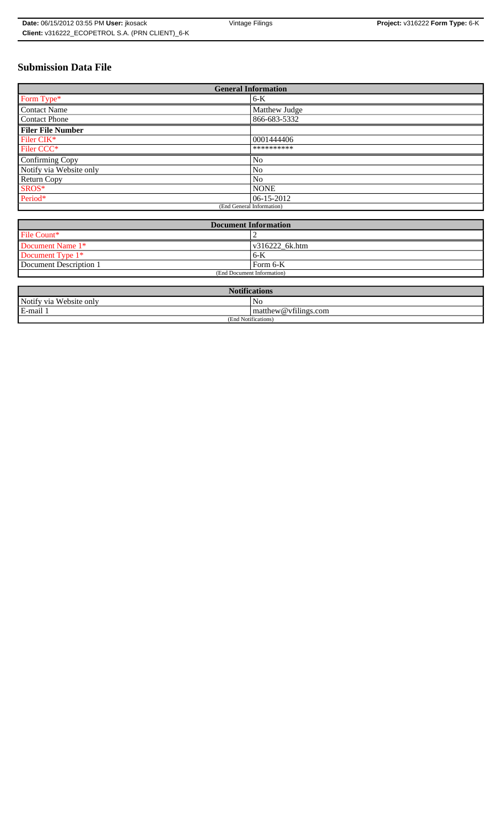# **Submission Data File**

| <b>General Information</b> |                |
|----------------------------|----------------|
| Form Type*                 | 6-K            |
| Contact Name               | Matthew Judge  |
| Contact Phone              | 866-683-5332   |
| <b>Filer File Number</b>   |                |
| Filer CIK*                 | 0001444406     |
| Filer CCC*                 | **********     |
| Confirming Copy            | N <sub>o</sub> |
| Notify via Website only    | No             |
| <b>Return Copy</b>         | No             |
| SROS*                      | <b>NONE</b>    |
| Period*                    | $ 06-15-2012 $ |
| (End General Information)  |                |

| <b>Document Information</b> |                        |
|-----------------------------|------------------------|
| File Count*                 |                        |
| Document Name 1*            | $\sqrt{316222}$ 6k.htm |
| Document Type 1*            | 6-K                    |
| Document Description 1      | Form 6-K               |
| (End Document Information)  |                        |

| <b>Notifications</b>    |                                     |
|-------------------------|-------------------------------------|
| Notify via Website only | No                                  |
| E-mail 1                | $\mathbf{m}$ matthew @ vfilings.com |
| (End Notifications)     |                                     |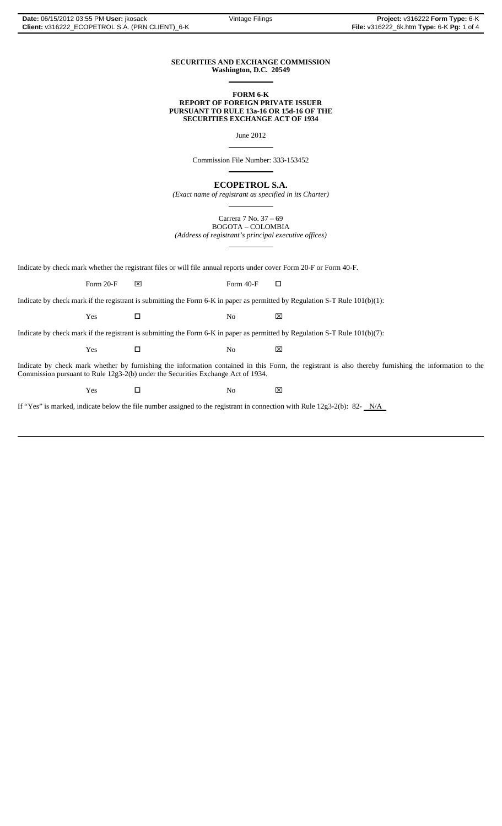### **SECURITIES AND EXCHANGE COMMISSION Washington, D.C. 20549**

 $\overline{a}$ 

 $\overline{a}$ 

 $\overline{a}$ 

#### **FORM 6-K REPORT OF FOREIGN PRIVATE ISSUER PURSUANT TO RULE 13a-16 OR 15d-16 OF THE SECURITIES EXCHANGE ACT OF 1934**

June 2012

Commission File Number: 333-153452

**ECOPETROL S.A.**

*(Exact name of registrant as specified in its Charter)*  $\overline{a}$ 

> Carrera 7 No. 37 – 69 BOGOTA – COLOMBIA

*(Address of registrant's principal executive offices)*  $\overline{a}$ 

Indicate by check mark whether the registrant files or will file annual reports under cover Form 20-F or Form 40-F.

Form 20-F  $\boxtimes$  Form 40-F  $\Box$ 

Indicate by check mark if the registrant is submitting the Form 6-K in paper as permitted by Regulation S-T Rule 101(b)(1):

 $Yes$   $\square$  No  $X$ 

Indicate by check mark if the registrant is submitting the Form 6-K in paper as permitted by Regulation S-T Rule 101(b)(7):

 $Yes$   $\square$  No  $X$ 

Indicate by check mark whether by furnishing the information contained in this Form, the registrant is also thereby furnishing the information to the Commission pursuant to Rule 12g3-2(b) under the Securities Exchange Act of 1934.

 $Yes$   $\square$  No  $X$ 

If "Yes" is marked, indicate below the file number assigned to the registrant in connection with Rule 12g3-2(b): 82- $N/A$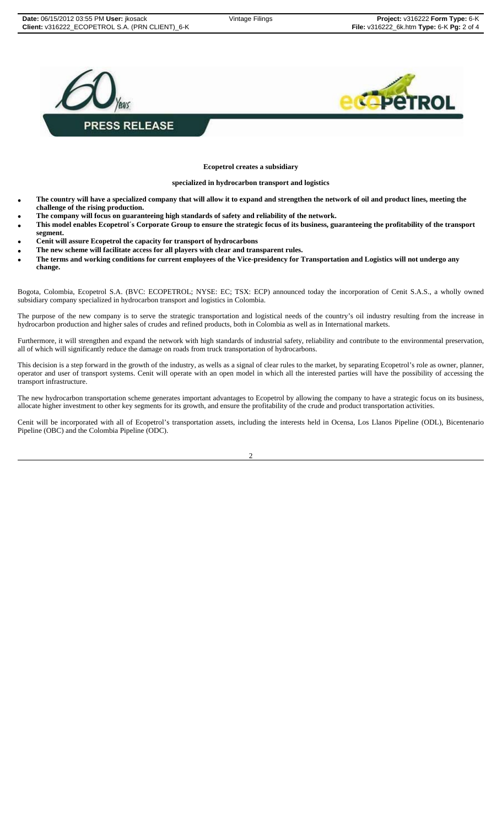

**Ecopetrol creates a subsidiary** 

**specialized in hydrocarbon transport and logistics** 

- **The country will have a specialized company that will allow it to expand and strengthen the network of oil and product lines, meeting the challenge of the rising production.**
- **The company will focus on guaranteeing high standards of safety and reliability of the network.**
- **This model enables Ecopetrol´s Corporate Group to ensure the strategic focus of its business, guaranteeing the profitability of the transport segment.**
- **Cenit will assure Ecopetrol the capacity for transport of hydrocarbons**
- **The new scheme will facilitate access for all players with clear and transparent rules.**
- **The terms and working conditions for current employees of the Vice-presidency for Transportation and Logistics will not undergo any change.**

Bogota, Colombia, Ecopetrol S.A. (BVC: ECOPETROL; NYSE: EC; TSX: ECP) announced today the incorporation of Cenit S.A.S., a wholly owned subsidiary company specialized in hydrocarbon transport and logistics in Colombia.

The purpose of the new company is to serve the strategic transportation and logistical needs of the country's oil industry resulting from the increase in hydrocarbon production and higher sales of crudes and refined products, both in Colombia as well as in International markets.

Furthermore, it will strengthen and expand the network with high standards of industrial safety, reliability and contribute to the environmental preservation, all of which will significantly reduce the damage on roads from truck transportation of hydrocarbons.

This decision is a step forward in the growth of the industry, as wells as a signal of clear rules to the market, by separating Ecopetrol's role as owner, planner, operator and user of transport systems. Cenit will operate with an open model in which all the interested parties will have the possibility of accessing the transport infrastructure.

The new hydrocarbon transportation scheme generates important advantages to Ecopetrol by allowing the company to have a strategic focus on its business, allocate higher investment to other key segments for its growth, and ensure the profitability of the crude and product transportation activities.

Cenit will be incorporated with all of Ecopetrol's transportation assets, including the interests held in Ocensa, Los Llanos Pipeline (ODL), Bicentenario Pipeline (OBC) and the Colombia Pipeline (ODC).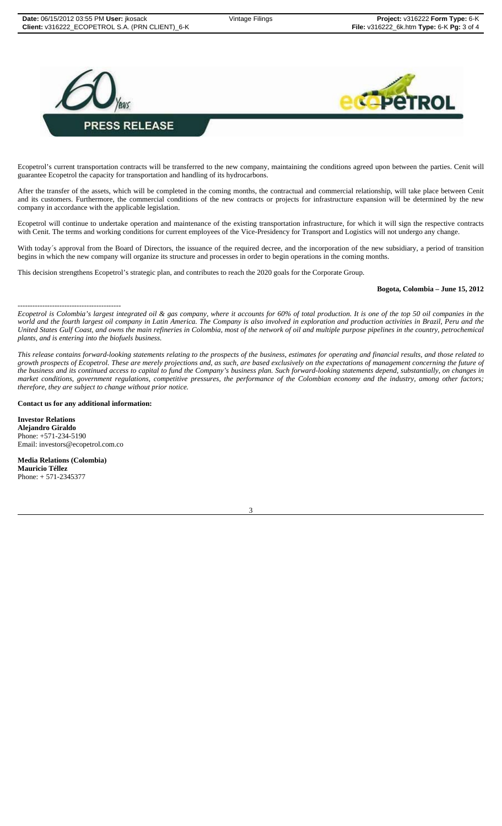



Ecopetrol's current transportation contracts will be transferred to the new company, maintaining the conditions agreed upon between the parties. Cenit will guarantee Ecopetrol the capacity for transportation and handling of its hydrocarbons.

After the transfer of the assets, which will be completed in the coming months, the contractual and commercial relationship, will take place between Cenit and its customers. Furthermore, the commercial conditions of the new contracts or projects for infrastructure expansion will be determined by the new company in accordance with the applicable legislation.

Ecopetrol will continue to undertake operation and maintenance of the existing transportation infrastructure, for which it will sign the respective contracts with Cenit. The terms and working conditions for current employees of the Vice-Presidency for Transport and Logistics will not undergo any change.

With today's approval from the Board of Directors, the issuance of the required decree, and the incorporation of the new subsidiary, a period of transition begins in which the new company will organize its structure and processes in order to begin operations in the coming months.

This decision strengthens Ecopetrol's strategic plan, and contributes to reach the 2020 goals for the Corporate Group.

## **Bogota, Colombia – June 15, 2012**

------------------------------------------ *Ecopetrol is Colombia's largest integrated oil & gas company, where it accounts for 60% of total production. It is one of the top 50 oil companies in the*  world and the fourth largest oil company in Latin America. The Company is also involved in exploration and production activities in Brazil, Peru and the *United States Gulf Coast, and owns the main refineries in Colombia, most of the network of oil and multiple purpose pipelines in the country, petrochemical plants, and is entering into the biofuels business.*

*This release contains forward-looking statements relating to the prospects of the business, estimates for operating and financial results, and those related to growth prospects of Ecopetrol. These are merely projections and, as such, are based exclusively on the expectations of management concerning the future of the business and its continued access to capital to fund the Company's business plan. Such forward-looking statements depend, substantially, on changes in market conditions, government regulations, competitive pressures, the performance of the Colombian economy and the industry, among other factors; therefore, they are subject to change without prior notice.*

**Contact us for any additional information:**

**Investor Relations Alejandro Giraldo** Phone: +571-234-5190 Email: investors@ecopetrol.com.co

**Media Relations (Colombia) Mauricio Téllez** Phone: + 571-2345377